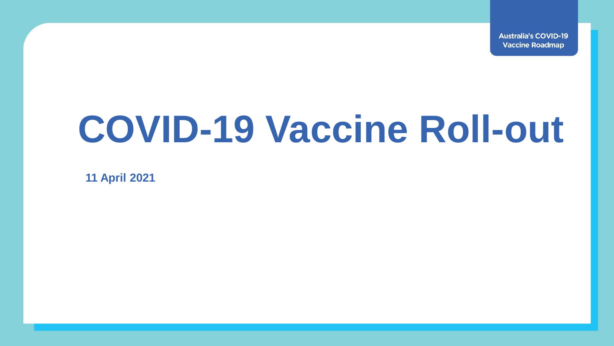**Australia's COVID-19 Vaccine Roadmap** 

## **COVID-19 Vaccine Roll-out**

**11 April 2021**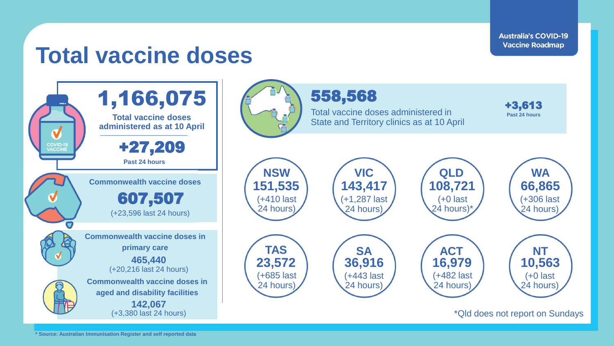**Australia's COVID-19 Vaccine Roadmap** 

## **Total vaccine doses**

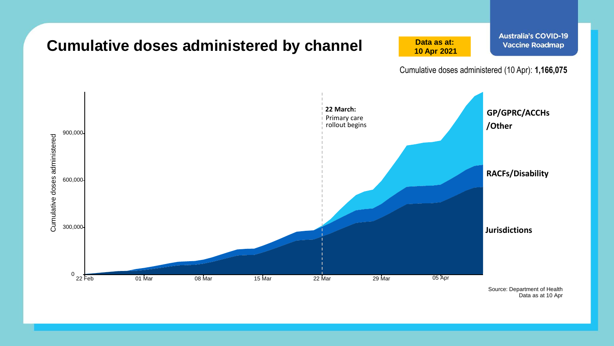

Data as at 10 Apr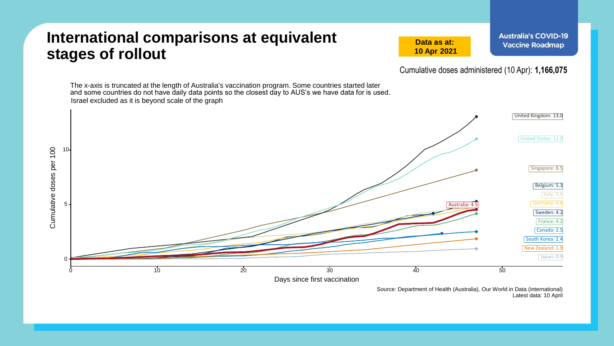## **International comparisons at equivalent stages of rollout**

**Data as at: 10 Apr 2021**

Cumulative doses administered (10 Apr): **1,166,075**

The x-axis is truncated at the length of Australia's vaccination program. Some countries started later and some countries do not have daily data points so the closest day to AUS's we have data for is used.Israel excluded as it is beyond scale of the graph United Kingdom: 13.0 United States: 11.0 Cumulative doses per 100 10 Cumulative doses per 100 Singapore: 8.5 Belgium: 5.3 Italy: 4.9 5 Germany: 4.8 Australia: Sweden: 4.2 France: 4.2 Canada: 2.5 South Korea: 2.4 New Zealand: 1.9 Japan: 0.9 0  $0$  10  $10$  20  $20$  30  $40$   $40$  50 Days since first vaccination

Source: Department of Health (Australia), Our World in Data (international) Latest data: 10 April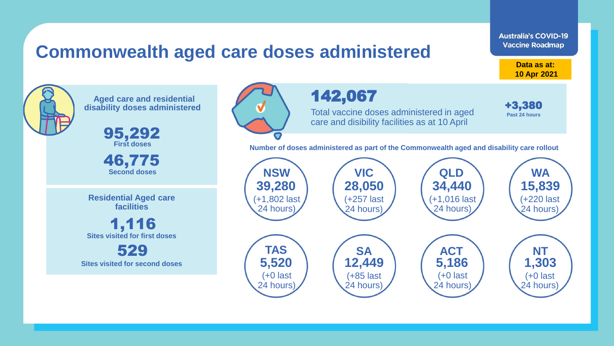## **Commonwealth aged care doses administered**

**Data as at: 10 Apr 2021**